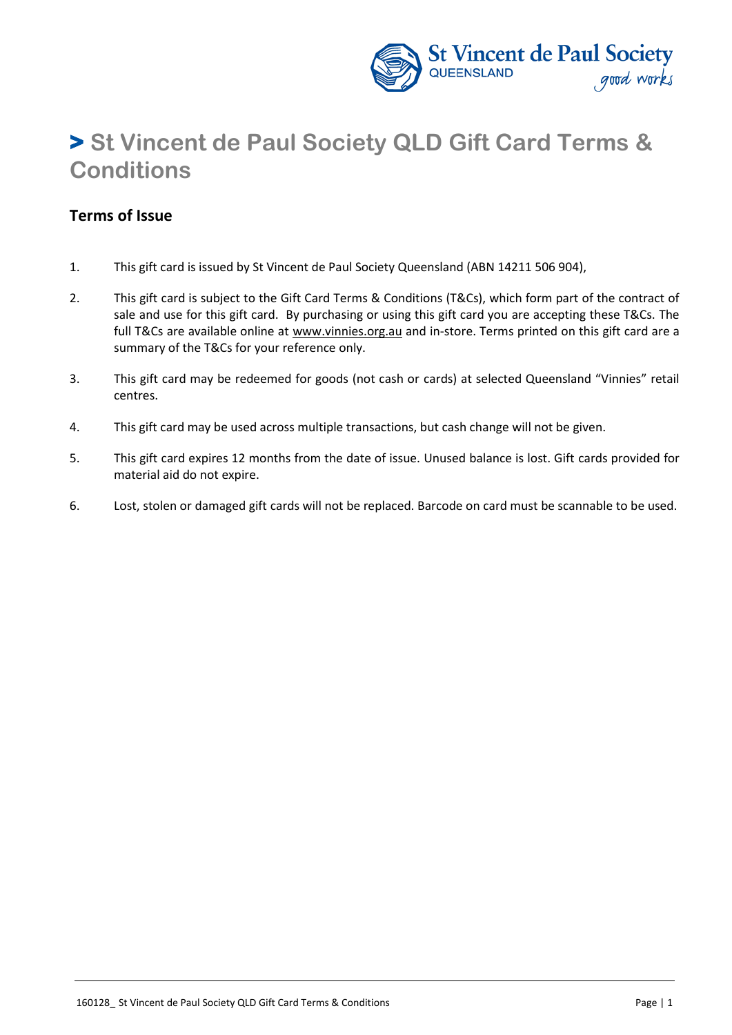

# **> St Vincent de Paul Society QLD Gift Card Terms & Conditions**

### **Terms of Issue**

- 1. This gift card is issued by St Vincent de Paul Society Queensland (ABN 14211 506 904),
- 2. This gift card is subject to the Gift Card Terms & Conditions (T&Cs), which form part of the contract of sale and use for this gift card. By purchasing or using this gift card you are accepting these T&Cs. The full T&Cs are available online at www.vinnies.org.au and in-store. Terms printed on this gift card are a summary of the T&Cs for your reference only.
- 3. This gift card may be redeemed for goods (not cash or cards) at selected Queensland "Vinnies" retail centres.
- 4. This gift card may be used across multiple transactions, but cash change will not be given.
- 5. This gift card expires 12 months from the date of issue. Unused balance is lost. Gift cards provided for material aid do not expire.
- 6. Lost, stolen or damaged gift cards will not be replaced. Barcode on card must be scannable to be used.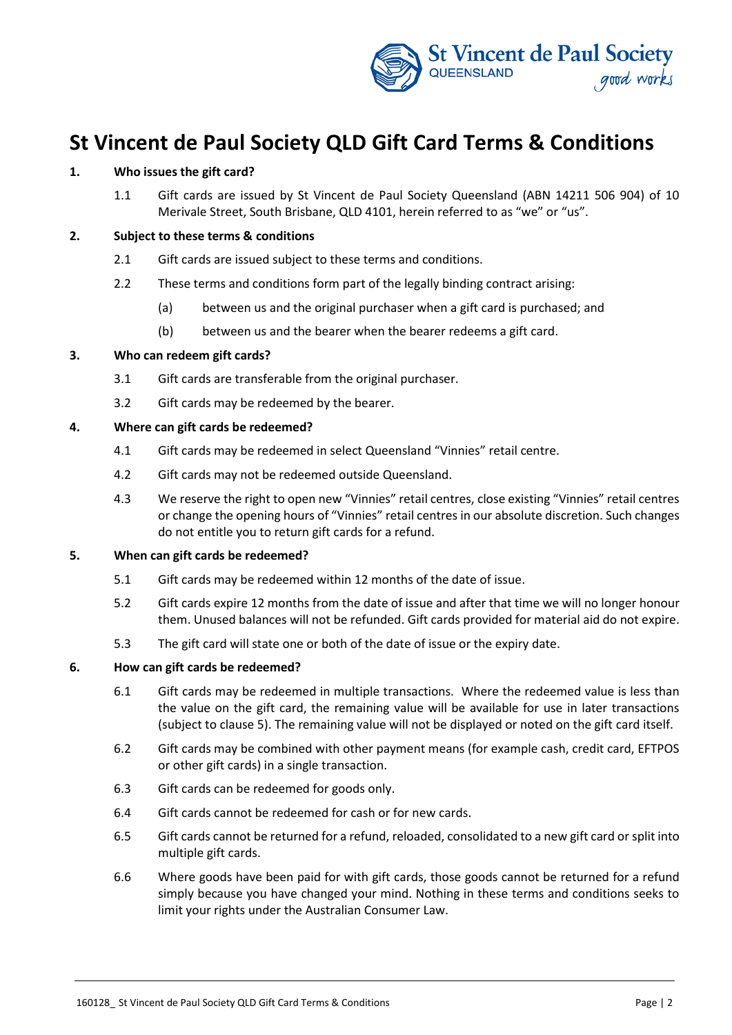

## **St Vincent de Paul Society QLD Gift Card Terms & Conditions**

#### **1. Who issues the gift card?**

1.1 Gift cards are issued by St Vincent de Paul Society Queensland (ABN 14211 506 904) of 10 Merivale Street, South Brisbane, QLD 4101, herein referred to as "we" or "us".

#### **2. Subject to these terms & conditions**

- 2.1 Gift cards are issued subject to these terms and conditions.
- 2.2 These terms and conditions form part of the legally binding contract arising:
	- (a) between us and the original purchaser when a gift card is purchased; and
	- (b) between us and the bearer when the bearer redeems a gift card.

#### **3. Who can redeem gift cards?**

- 3.1 Gift cards are transferable from the original purchaser.
- 3.2 Gift cards may be redeemed by the bearer.

#### **4. Where can gift cards be redeemed?**

- 4.1 Gift cards may be redeemed in select Queensland "Vinnies" retail centre.
- 4.2 Gift cards may not be redeemed outside Queensland.
- 4.3 We reserve the right to open new "Vinnies" retail centres, close existing "Vinnies" retail centres or change the opening hours of "Vinnies" retail centres in our absolute discretion. Such changes do not entitle you to return gift cards for a refund.

#### <span id="page-1-0"></span>**5. When can gift cards be redeemed?**

- 5.1 Gift cards may be redeemed within 12 months of the date of issue.
- 5.2 Gift cards expire 12 months from the date of issue and after that time we will no longer honour them. Unused balances will not be refunded. Gift cards provided for material aid do not expire.
- 5.3 The gift card will state one or both of the date of issue or the expiry date.

#### **6. How can gift cards be redeemed?**

- 6.1 Gift cards may be redeemed in multiple transactions. Where the redeemed value is less than the value on the gift card, the remaining value will be available for use in later transactions (subject to clause [5\)](#page-1-0). The remaining value will not be displayed or noted on the gift card itself.
- 6.2 Gift cards may be combined with other payment means (for example cash, credit card, EFTPOS or other gift cards) in a single transaction.
- 6.3 Gift cards can be redeemed for goods only.
- 6.4 Gift cards cannot be redeemed for cash or for new cards.
- 6.5 Gift cards cannot be returned for a refund, reloaded, consolidated to a new gift card or split into multiple gift cards.
- 6.6 Where goods have been paid for with gift cards, those goods cannot be returned for a refund simply because you have changed your mind. Nothing in these terms and conditions seeks to limit your rights under the Australian Consumer Law.